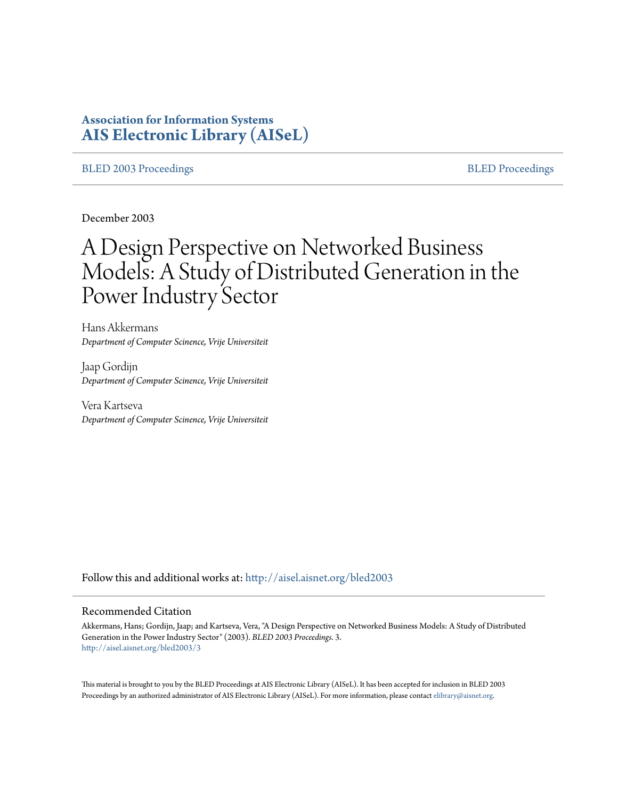## **Association for Information Systems [AIS Electronic Library \(AISeL\)](http://aisel.aisnet.org?utm_source=aisel.aisnet.org%2Fbled2003%2F3&utm_medium=PDF&utm_campaign=PDFCoverPages)**

[BLED 2003 Proceedings](http://aisel.aisnet.org/bled2003?utm_source=aisel.aisnet.org%2Fbled2003%2F3&utm_medium=PDF&utm_campaign=PDFCoverPages) and the state of the state of the [BLED Proceedings](http://aisel.aisnet.org/bled?utm_source=aisel.aisnet.org%2Fbled2003%2F3&utm_medium=PDF&utm_campaign=PDFCoverPages) and the BLED Proceedings and the BLED Proceedings and the BLED Proceedings and the BLED Proceedings and the BLED Proceedings and the BLED Proceedings

December 2003

# A Design Perspective on Networked Business Models: A Study of Distributed Generation in the Power Industry Sector

Hans Akkermans *Department of Computer Scinence, Vrije Universiteit*

Jaap Gordijn *Department of Computer Scinence, Vrije Universiteit*

Vera Kartseva *Department of Computer Scinence, Vrije Universiteit*

Follow this and additional works at: [http://aisel.aisnet.org/bled2003](http://aisel.aisnet.org/bled2003?utm_source=aisel.aisnet.org%2Fbled2003%2F3&utm_medium=PDF&utm_campaign=PDFCoverPages)

### Recommended Citation

Akkermans, Hans; Gordijn, Jaap; and Kartseva, Vera, "A Design Perspective on Networked Business Models: A Study of Distributed Generation in the Power Industry Sector" (2003). *BLED 2003 Proceedings*. 3. [http://aisel.aisnet.org/bled2003/3](http://aisel.aisnet.org/bled2003/3?utm_source=aisel.aisnet.org%2Fbled2003%2F3&utm_medium=PDF&utm_campaign=PDFCoverPages)

This material is brought to you by the BLED Proceedings at AIS Electronic Library (AISeL). It has been accepted for inclusion in BLED 2003 Proceedings by an authorized administrator of AIS Electronic Library (AISeL). For more information, please contact [elibrary@aisnet.org](mailto:elibrary@aisnet.org%3E).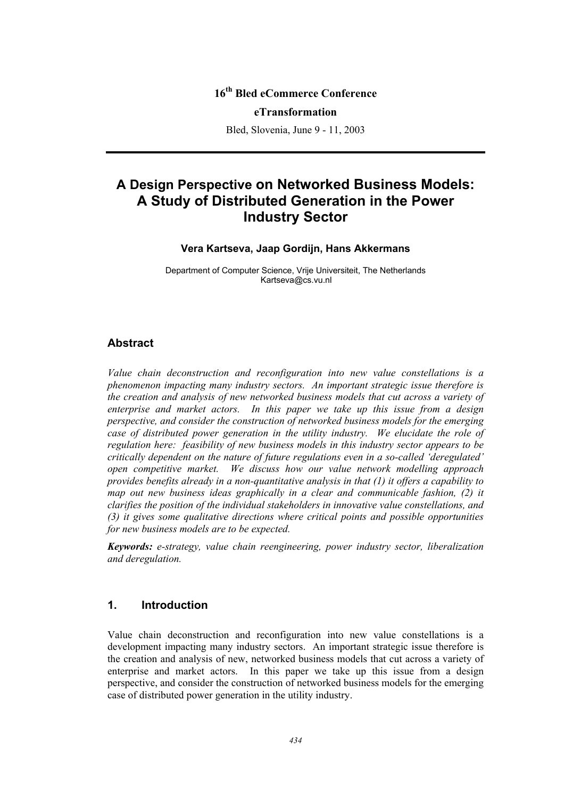### **16th Bled eCommerce Conference**

### **eTransformation**

Bled, Slovenia, June 9 - 11, 2003

## **A Design Perspective on Networked Business Models: A Study of Distributed Generation in the Power Industry Sector**

#### **Vera Kartseva, Jaap Gordijn, Hans Akkermans**

Department of Computer Science, Vrije Universiteit, The Netherlands Kartseva@cs.vu.nl

### **Abstract**

*Value chain deconstruction and reconfiguration into new value constellations is a phenomenon impacting many industry sectors. An important strategic issue therefore is the creation and analysis of new networked business models that cut across a variety of enterprise and market actors. In this paper we take up this issue from a design perspective, and consider the construction of networked business models for the emerging case of distributed power generation in the utility industry. We elucidate the role of regulation here: feasibility of new business models in this industry sector appears to be critically dependent on the nature of future regulations even in a so-called 'deregulated' open competitive market. We discuss how our value network modelling approach provides benefits already in a non-quantitative analysis in that (1) it offers a capability to map out new business ideas graphically in a clear and communicable fashion, (2) it clarifies the position of the individual stakeholders in innovative value constellations, and (3) it gives some qualitative directions where critical points and possible opportunities for new business models are to be expected.* 

*Keywords: e-strategy, value chain reengineering, power industry sector, liberalization and deregulation.* 

### **1. Introduction**

Value chain deconstruction and reconfiguration into new value constellations is a development impacting many industry sectors. An important strategic issue therefore is the creation and analysis of new, networked business models that cut across a variety of enterprise and market actors. In this paper we take up this issue from a design perspective, and consider the construction of networked business models for the emerging case of distributed power generation in the utility industry.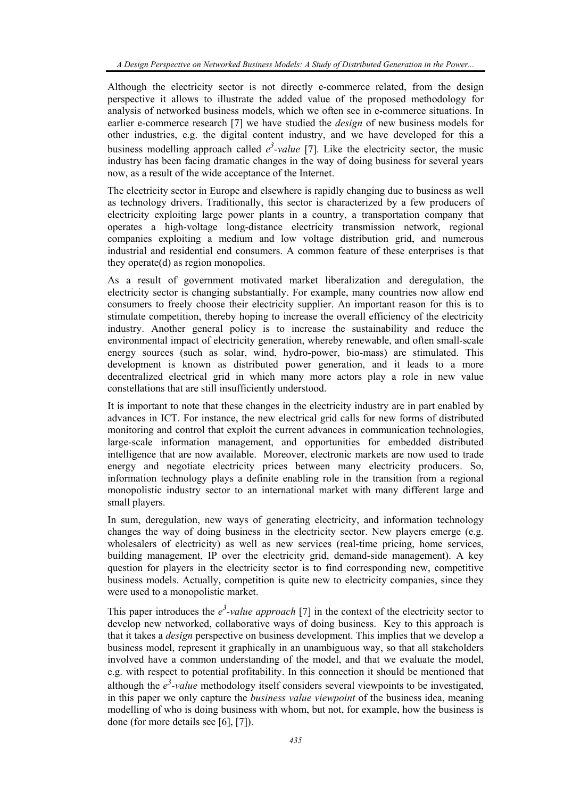Although the electricity sector is not directly e-commerce related, from the design perspective it allows to illustrate the added value of the proposed methodology for analysis of networked business models, which we often see in e-commerce situations. In earlier e-commerce research [7] we have studied the *design* of new business models for other industries, e.g. the digital content industry, and we have developed for this a business modelling approach called  $e^3$ -value [7]. Like the electricity sector, the music industry has been facing dramatic changes in the way of doing business for several years now, as a result of the wide acceptance of the Internet.

The electricity sector in Europe and elsewhere is rapidly changing due to business as well as technology drivers. Traditionally, this sector is characterized by a few producers of electricity exploiting large power plants in a country, a transportation company that operates a high-voltage long-distance electricity transmission network, regional companies exploiting a medium and low voltage distribution grid, and numerous industrial and residential end consumers. A common feature of these enterprises is that they operate(d) as region monopolies.

As a result of government motivated market liberalization and deregulation, the electricity sector is changing substantially. For example, many countries now allow end consumers to freely choose their electricity supplier. An important reason for this is to stimulate competition, thereby hoping to increase the overall efficiency of the electricity industry. Another general policy is to increase the sustainability and reduce the environmental impact of electricity generation, whereby renewable, and often small-scale energy sources (such as solar, wind, hydro-power, bio-mass) are stimulated. This development is known as distributed power generation, and it leads to a more decentralized electrical grid in which many more actors play a role in new value constellations that are still insufficiently understood.

It is important to note that these changes in the electricity industry are in part enabled by advances in ICT. For instance, the new electrical grid calls for new forms of distributed monitoring and control that exploit the current advances in communication technologies, large-scale information management, and opportunities for embedded distributed intelligence that are now available. Moreover, electronic markets are now used to trade energy and negotiate electricity prices between many electricity producers. So, information technology plays a definite enabling role in the transition from a regional monopolistic industry sector to an international market with many different large and small players.

In sum, deregulation, new ways of generating electricity, and information technology changes the way of doing business in the electricity sector. New players emerge (e.g. wholesalers of electricity) as well as new services (real-time pricing, home services, building management, IP over the electricity grid, demand-side management). A key question for players in the electricity sector is to find corresponding new, competitive business models. Actually, competition is quite new to electricity companies, since they were used to a monopolistic market.

This paper introduces the  $e^3$ -value approach [7] in the context of the electricity sector to develop new networked, collaborative ways of doing business. Key to this approach is that it takes a *design* perspective on business development. This implies that we develop a business model, represent it graphically in an unambiguous way, so that all stakeholders involved have a common understanding of the model, and that we evaluate the model, e.g. with respect to potential profitability. In this connection it should be mentioned that although the  $e^3$ -value methodology itself considers several viewpoints to be investigated, in this paper we only capture the *business value viewpoint* of the business idea, meaning modelling of who is doing business with whom, but not, for example, how the business is done (for more details see [6], [7]).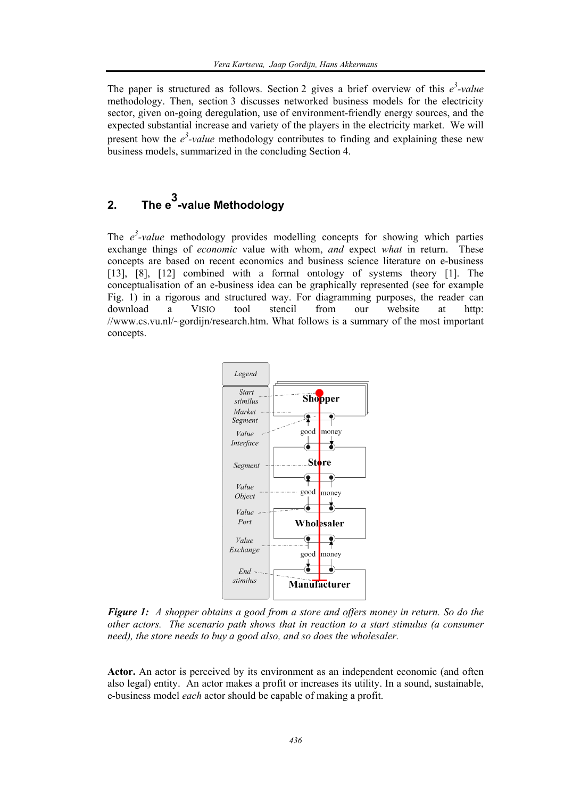The paper is structured as follows. Section 2 gives a brief overview of this  $e^3$ -value methodology. Then, section 3 discusses networked business models for the electricity sector, given on-going deregulation, use of environment-friendly energy sources, and the expected substantial increase and variety of the players in the electricity market. We will present how the  $e^3$ -value methodology contributes to finding and explaining these new business models, summarized in the concluding Section 4.

## **2. The e3 -value Methodology**

The  $e^3$ -value methodology provides modelling concepts for showing which parties exchange things of *economic* value with whom, *and* expect *what* in return. These concepts are based on recent economics and business science literature on e-business [13], [8], [12] combined with a formal ontology of systems theory [1]. The conceptualisation of an e-business idea can be graphically represented (see for example Fig. 1) in a rigorous and structured way. For diagramming purposes, the reader can download a VISIO tool stencil from our website at http: //www.cs.vu.nl/~gordijn/research.htm. What follows is a summary of the most important concepts.



*Figure 1: A shopper obtains a good from a store and offers money in return. So do the other actors. The scenario path shows that in reaction to a start stimulus (a consumer need), the store needs to buy a good also, and so does the wholesaler.* 

**Actor.** An actor is perceived by its environment as an independent economic (and often also legal) entity. An actor makes a profit or increases its utility. In a sound, sustainable, e-business model *each* actor should be capable of making a profit.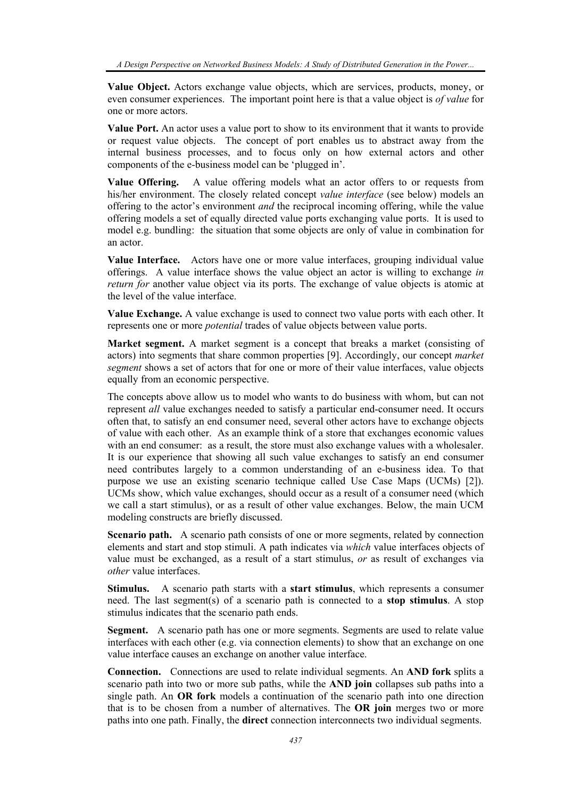**Value Object.** Actors exchange value objects, which are services, products, money, or even consumer experiences. The important point here is that a value object is *of value* for one or more actors.

**Value Port.** An actor uses a value port to show to its environment that it wants to provide or request value objects. The concept of port enables us to abstract away from the internal business processes, and to focus only on how external actors and other components of the e-business model can be 'plugged in'.

**Value Offering.** A value offering models what an actor offers to or requests from his/her environment. The closely related concept *value interface* (see below) models an offering to the actor's environment *and* the reciprocal incoming offering, while the value offering models a set of equally directed value ports exchanging value ports. It is used to model e.g. bundling: the situation that some objects are only of value in combination for an actor.

**Value Interface.** Actors have one or more value interfaces, grouping individual value offerings. A value interface shows the value object an actor is willing to exchange *in return for* another value object via its ports. The exchange of value objects is atomic at the level of the value interface.

**Value Exchange.** A value exchange is used to connect two value ports with each other. It represents one or more *potential* trades of value objects between value ports.

**Market segment.** A market segment is a concept that breaks a market (consisting of actors) into segments that share common properties [9]. Accordingly, our concept *market segment* shows a set of actors that for one or more of their value interfaces, value objects equally from an economic perspective.

The concepts above allow us to model who wants to do business with whom, but can not represent *all* value exchanges needed to satisfy a particular end-consumer need. It occurs often that, to satisfy an end consumer need, several other actors have to exchange objects of value with each other. As an example think of a store that exchanges economic values with an end consumer: as a result, the store must also exchange values with a wholesaler. It is our experience that showing all such value exchanges to satisfy an end consumer need contributes largely to a common understanding of an e-business idea. To that purpose we use an existing scenario technique called Use Case Maps (UCMs) [2]). UCMs show, which value exchanges, should occur as a result of a consumer need (which we call a start stimulus), or as a result of other value exchanges. Below, the main UCM modeling constructs are briefly discussed.

**Scenario path.** A scenario path consists of one or more segments, related by connection elements and start and stop stimuli. A path indicates via *which* value interfaces objects of value must be exchanged, as a result of a start stimulus, *or* as result of exchanges via *other* value interfaces.

**Stimulus.** A scenario path starts with a **start stimulus**, which represents a consumer need. The last segment(s) of a scenario path is connected to a **stop stimulus**. A stop stimulus indicates that the scenario path ends.

**Segment.** A scenario path has one or more segments. Segments are used to relate value interfaces with each other (e.g. via connection elements) to show that an exchange on one value interface causes an exchange on another value interface.

**Connection.** Connections are used to relate individual segments. An **AND fork** splits a scenario path into two or more sub paths, while the **AND join** collapses sub paths into a single path. An **OR fork** models a continuation of the scenario path into one direction that is to be chosen from a number of alternatives. The **OR join** merges two or more paths into one path. Finally, the **direct** connection interconnects two individual segments.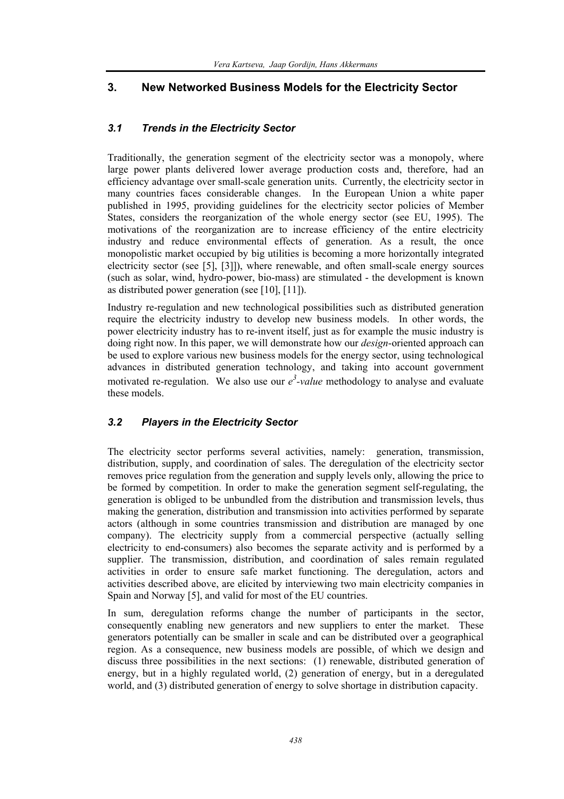### **3. New Networked Business Models for the Electricity Sector**

### *3.1 Trends in the Electricity Sector*

Traditionally, the generation segment of the electricity sector was a monopoly, where large power plants delivered lower average production costs and, therefore, had an efficiency advantage over small-scale generation units. Currently, the electricity sector in many countries faces considerable changes. In the European Union a white paper published in 1995, providing guidelines for the electricity sector policies of Member States, considers the reorganization of the whole energy sector (see EU, 1995). The motivations of the reorganization are to increase efficiency of the entire electricity industry and reduce environmental effects of generation. As a result, the once monopolistic market occupied by big utilities is becoming a more horizontally integrated electricity sector (see [5], [3]]), where renewable, and often small-scale energy sources (such as solar, wind, hydro-power, bio-mass) are stimulated - the development is known as distributed power generation (see [10], [11]).

Industry re-regulation and new technological possibilities such as distributed generation require the electricity industry to develop new business models. In other words, the power electricity industry has to re-invent itself, just as for example the music industry is doing right now. In this paper, we will demonstrate how our *design*-oriented approach can be used to explore various new business models for the energy sector, using technological advances in distributed generation technology, and taking into account government motivated re-regulation. We also use our  $e^{3}$ -value methodology to analyse and evaluate these models.

### *3.2 Players in the Electricity Sector*

The electricity sector performs several activities, namely: generation, transmission, distribution, supply, and coordination of sales. The deregulation of the electricity sector removes price regulation from the generation and supply levels only, allowing the price to be formed by competition. In order to make the generation segment self-regulating, the generation is obliged to be unbundled from the distribution and transmission levels, thus making the generation, distribution and transmission into activities performed by separate actors (although in some countries transmission and distribution are managed by one company). The electricity supply from a commercial perspective (actually selling electricity to end-consumers) also becomes the separate activity and is performed by a supplier. The transmission, distribution, and coordination of sales remain regulated activities in order to ensure safe market functioning. The deregulation, actors and activities described above, are elicited by interviewing two main electricity companies in Spain and Norway [5], and valid for most of the EU countries.

In sum, deregulation reforms change the number of participants in the sector, consequently enabling new generators and new suppliers to enter the market. These generators potentially can be smaller in scale and can be distributed over a geographical region. As a consequence, new business models are possible, of which we design and discuss three possibilities in the next sections: (1) renewable, distributed generation of energy, but in a highly regulated world, (2) generation of energy, but in a deregulated world, and (3) distributed generation of energy to solve shortage in distribution capacity.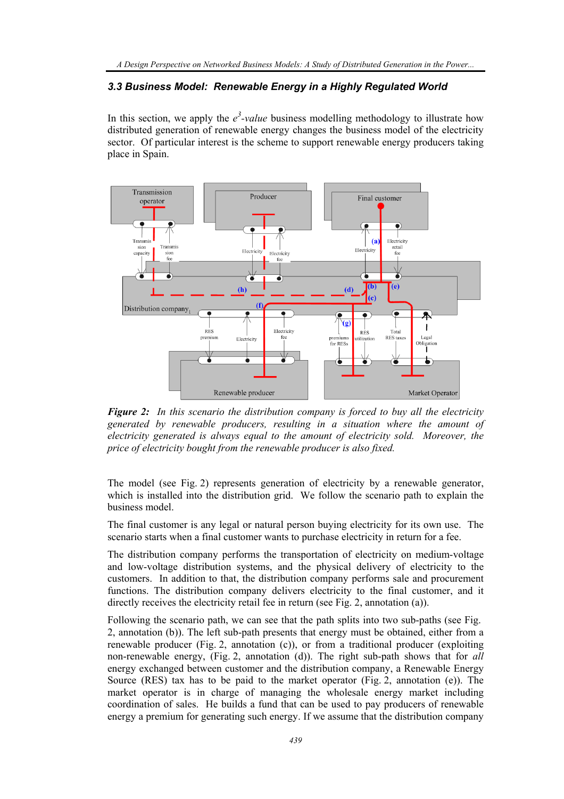### *3.3 Business Model: Renewable Energy in a Highly Regulated World*

In this section, we apply the  $e^3$ -value business modelling methodology to illustrate how distributed generation of renewable energy changes the business model of the electricity sector. Of particular interest is the scheme to support renewable energy producers taking place in Spain.



*Figure 2: In this scenario the distribution company is forced to buy all the electricity generated by renewable producers, resulting in a situation where the amount of electricity generated is always equal to the amount of electricity sold. Moreover, the price of electricity bought from the renewable producer is also fixed.* 

The model (see Fig. 2) represents generation of electricity by a renewable generator, which is installed into the distribution grid. We follow the scenario path to explain the business model.

The final customer is any legal or natural person buying electricity for its own use. The scenario starts when a final customer wants to purchase electricity in return for a fee.

The distribution company performs the transportation of electricity on medium-voltage and low-voltage distribution systems, and the physical delivery of electricity to the customers. In addition to that, the distribution company performs sale and procurement functions. The distribution company delivers electricity to the final customer, and it directly receives the electricity retail fee in return (see Fig. 2, annotation (a)).

Following the scenario path, we can see that the path splits into two sub-paths (see Fig. 2, annotation (b)). The left sub-path presents that energy must be obtained, either from a renewable producer (Fig. 2, annotation (c)), or from a traditional producer (exploiting non-renewable energy, (Fig. 2, annotation (d)). The right sub-path shows that for *all* energy exchanged between customer and the distribution company, a Renewable Energy Source (RES) tax has to be paid to the market operator (Fig. 2, annotation (e)). The market operator is in charge of managing the wholesale energy market including coordination of sales. He builds a fund that can be used to pay producers of renewable energy a premium for generating such energy. If we assume that the distribution company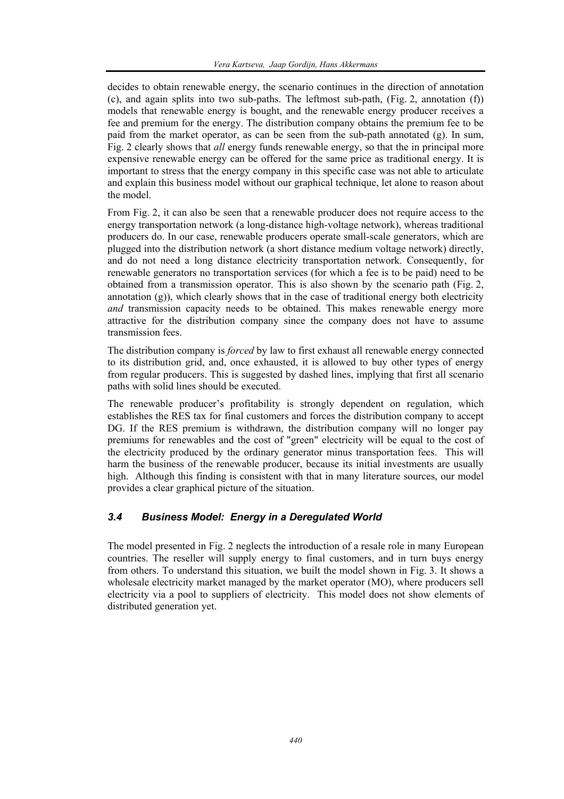decides to obtain renewable energy, the scenario continues in the direction of annotation (c), and again splits into two sub-paths. The leftmost sub-path, (Fig. 2, annotation (f)) models that renewable energy is bought, and the renewable energy producer receives a fee and premium for the energy. The distribution company obtains the premium fee to be paid from the market operator, as can be seen from the sub-path annotated (g). In sum, Fig. 2 clearly shows that *all* energy funds renewable energy, so that the in principal more expensive renewable energy can be offered for the same price as traditional energy. It is important to stress that the energy company in this specific case was not able to articulate and explain this business model without our graphical technique, let alone to reason about the model.

From Fig. 2, it can also be seen that a renewable producer does not require access to the energy transportation network (a long-distance high-voltage network), whereas traditional producers do. In our case, renewable producers operate small-scale generators, which are plugged into the distribution network (a short distance medium voltage network) directly, and do not need a long distance electricity transportation network. Consequently, for renewable generators no transportation services (for which a fee is to be paid) need to be obtained from a transmission operator. This is also shown by the scenario path (Fig. 2, annotation  $(g)$ ), which clearly shows that in the case of traditional energy both electricity *and* transmission capacity needs to be obtained. This makes renewable energy more attractive for the distribution company since the company does not have to assume transmission fees.

The distribution company is *forced* by law to first exhaust all renewable energy connected to its distribution grid, and, once exhausted, it is allowed to buy other types of energy from regular producers. This is suggested by dashed lines, implying that first all scenario paths with solid lines should be executed.

The renewable producer's profitability is strongly dependent on regulation, which establishes the RES tax for final customers and forces the distribution company to accept DG. If the RES premium is withdrawn, the distribution company will no longer pay premiums for renewables and the cost of "green" electricity will be equal to the cost of the electricity produced by the ordinary generator minus transportation fees. This will harm the business of the renewable producer, because its initial investments are usually high. Although this finding is consistent with that in many literature sources, our model provides a clear graphical picture of the situation.

### *3.4 Business Model: Energy in a Deregulated World*

The model presented in Fig. 2 neglects the introduction of a resale role in many European countries. The reseller will supply energy to final customers, and in turn buys energy from others. To understand this situation, we built the model shown in Fig. 3. It shows a wholesale electricity market managed by the market operator (MO), where producers sell electricity via a pool to suppliers of electricity. This model does not show elements of distributed generation yet.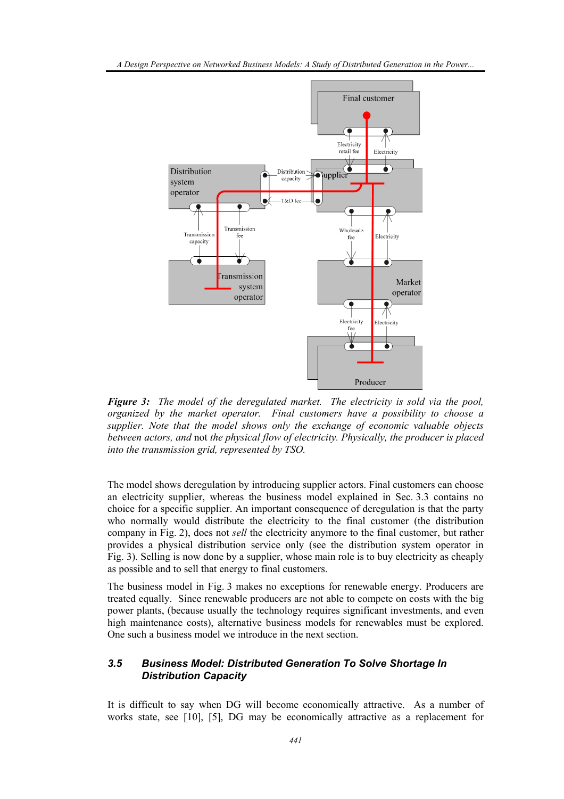

*Figure 3: The model of the deregulated market. The electricity is sold via the pool, organized by the market operator. Final customers have a possibility to choose a supplier. Note that the model shows only the exchange of economic valuable objects between actors, and* not *the physical flow of electricity. Physically, the producer is placed into the transmission grid, represented by TSO.* 

The model shows deregulation by introducing supplier actors. Final customers can choose an electricity supplier, whereas the business model explained in Sec. 3.3 contains no choice for a specific supplier. An important consequence of deregulation is that the party who normally would distribute the electricity to the final customer (the distribution company in Fig. 2), does not *sell* the electricity anymore to the final customer, but rather provides a physical distribution service only (see the distribution system operator in Fig. 3). Selling is now done by a supplier, whose main role is to buy electricity as cheaply as possible and to sell that energy to final customers.

The business model in Fig. 3 makes no exceptions for renewable energy. Producers are treated equally. Since renewable producers are not able to compete on costs with the big power plants, (because usually the technology requires significant investments, and even high maintenance costs), alternative business models for renewables must be explored. One such a business model we introduce in the next section.

### *3.5 Business Model: Distributed Generation To Solve Shortage In Distribution Capacity*

It is difficult to say when DG will become economically attractive. As a number of works state, see [10], [5], DG may be economically attractive as a replacement for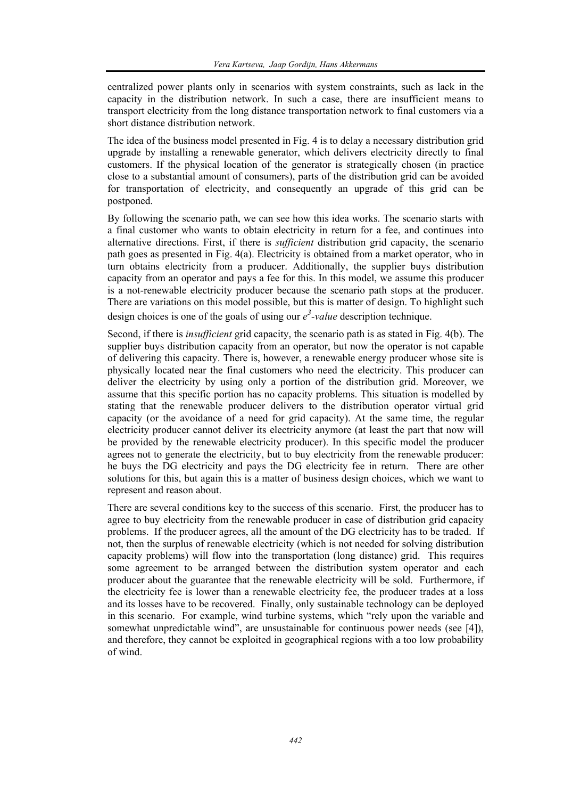centralized power plants only in scenarios with system constraints, such as lack in the capacity in the distribution network. In such a case, there are insufficient means to transport electricity from the long distance transportation network to final customers via a short distance distribution network.

The idea of the business model presented in Fig. 4 is to delay a necessary distribution grid upgrade by installing a renewable generator, which delivers electricity directly to final customers. If the physical location of the generator is strategically chosen (in practice close to a substantial amount of consumers), parts of the distribution grid can be avoided for transportation of electricity, and consequently an upgrade of this grid can be postponed.

By following the scenario path, we can see how this idea works. The scenario starts with a final customer who wants to obtain electricity in return for a fee, and continues into alternative directions. First, if there is *sufficient* distribution grid capacity, the scenario path goes as presented in Fig. 4(a). Electricity is obtained from a market operator, who in turn obtains electricity from a producer. Additionally, the supplier buys distribution capacity from an operator and pays a fee for this. In this model, we assume this producer is a not-renewable electricity producer because the scenario path stops at the producer. There are variations on this model possible, but this is matter of design. To highlight such design choices is one of the goals of using our  $e^3$ -value description technique.

Second, if there is *insufficient* grid capacity, the scenario path is as stated in Fig. 4(b). The supplier buys distribution capacity from an operator, but now the operator is not capable of delivering this capacity. There is, however, a renewable energy producer whose site is physically located near the final customers who need the electricity. This producer can deliver the electricity by using only a portion of the distribution grid. Moreover, we assume that this specific portion has no capacity problems. This situation is modelled by stating that the renewable producer delivers to the distribution operator virtual grid capacity (or the avoidance of a need for grid capacity). At the same time, the regular electricity producer cannot deliver its electricity anymore (at least the part that now will be provided by the renewable electricity producer). In this specific model the producer agrees not to generate the electricity, but to buy electricity from the renewable producer: he buys the DG electricity and pays the DG electricity fee in return. There are other solutions for this, but again this is a matter of business design choices, which we want to represent and reason about.

There are several conditions key to the success of this scenario. First, the producer has to agree to buy electricity from the renewable producer in case of distribution grid capacity problems. If the producer agrees, all the amount of the DG electricity has to be traded. If not, then the surplus of renewable electricity (which is not needed for solving distribution capacity problems) will flow into the transportation (long distance) grid. This requires some agreement to be arranged between the distribution system operator and each producer about the guarantee that the renewable electricity will be sold. Furthermore, if the electricity fee is lower than a renewable electricity fee, the producer trades at a loss and its losses have to be recovered. Finally, only sustainable technology can be deployed in this scenario. For example, wind turbine systems, which "rely upon the variable and somewhat unpredictable wind", are unsustainable for continuous power needs (see [4]), and therefore, they cannot be exploited in geographical regions with a too low probability of wind.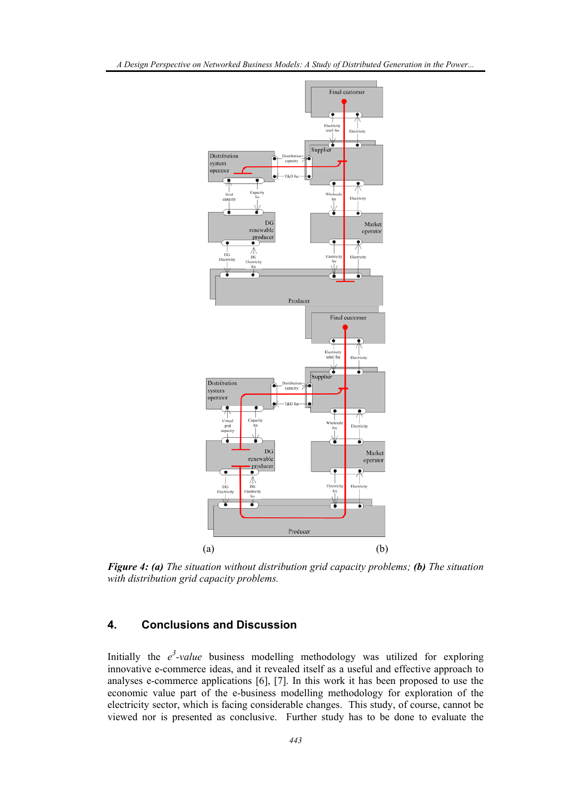

*Figure 4: (a) The situation without distribution grid capacity problems; (b) The situation with distribution grid capacity problems.* 

### **4. Conclusions and Discussion**

Initially the  $e^3$ -value business modelling methodology was utilized for exploring innovative e-commerce ideas, and it revealed itself as a useful and effective approach to analyses e-commerce applications [6], [7]. In this work it has been proposed to use the economic value part of the e-business modelling methodology for exploration of the electricity sector, which is facing considerable changes. This study, of course, cannot be viewed nor is presented as conclusive. Further study has to be done to evaluate the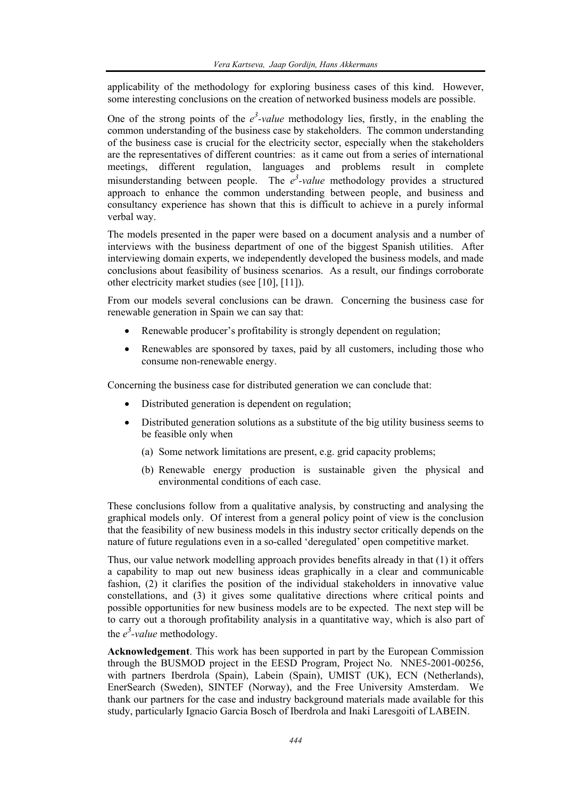applicability of the methodology for exploring business cases of this kind. However, some interesting conclusions on the creation of networked business models are possible.

One of the strong points of the  $e^3$ -value methodology lies, firstly, in the enabling the common understanding of the business case by stakeholders. The common understanding of the business case is crucial for the electricity sector, especially when the stakeholders are the representatives of different countries: as it came out from a series of international meetings, different regulation, languages and problems result in complete misunderstanding between people. The  $e^3$ -value methodology provides a structured approach to enhance the common understanding between people, and business and consultancy experience has shown that this is difficult to achieve in a purely informal verbal way.

The models presented in the paper were based on a document analysis and a number of interviews with the business department of one of the biggest Spanish utilities. After interviewing domain experts, we independently developed the business models, and made conclusions about feasibility of business scenarios. As a result, our findings corroborate other electricity market studies (see [10], [11]).

From our models several conclusions can be drawn. Concerning the business case for renewable generation in Spain we can say that:

- Renewable producer's profitability is strongly dependent on regulation;
- Renewables are sponsored by taxes, paid by all customers, including those who consume non-renewable energy.

Concerning the business case for distributed generation we can conclude that:

- Distributed generation is dependent on regulation;
- Distributed generation solutions as a substitute of the big utility business seems to be feasible only when
	- (a) Some network limitations are present, e.g. grid capacity problems;
	- (b) Renewable energy production is sustainable given the physical and environmental conditions of each case.

These conclusions follow from a qualitative analysis, by constructing and analysing the graphical models only. Of interest from a general policy point of view is the conclusion that the feasibility of new business models in this industry sector critically depends on the nature of future regulations even in a so-called 'deregulated' open competitive market.

Thus, our value network modelling approach provides benefits already in that (1) it offers a capability to map out new business ideas graphically in a clear and communicable fashion, (2) it clarifies the position of the individual stakeholders in innovative value constellations, and (3) it gives some qualitative directions where critical points and possible opportunities for new business models are to be expected. The next step will be to carry out a thorough profitability analysis in a quantitative way, which is also part of the  $e^3$ -value methodology.

**Acknowledgement**. This work has been supported in part by the European Commission through the BUSMOD project in the EESD Program, Project No. NNE5-2001-00256, with partners Iberdrola (Spain), Labein (Spain), UMIST (UK), ECN (Netherlands), EnerSearch (Sweden), SINTEF (Norway), and the Free University Amsterdam. We thank our partners for the case and industry background materials made available for this study, particularly Ignacio Garcia Bosch of Iberdrola and Inaki Laresgoiti of LABEIN.